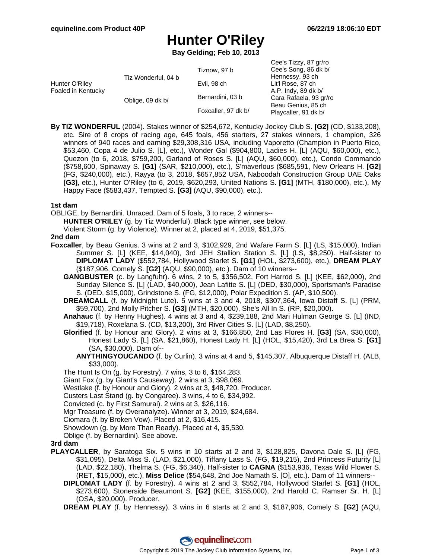Cee's Tizzy, 87 gr/ro

## **Hunter O'Riley**

**Bay Gelding; Feb 10, 2013**

|                                      |                     |                     | <b>OCCUP ILLET, UP GIVID</b> |
|--------------------------------------|---------------------|---------------------|------------------------------|
| Hunter O'Riley<br>Foaled in Kentucky | Tiz Wonderful, 04 b | Tiznow, 97 b        | Cee's Song, 86 dk b/         |
|                                      |                     |                     | Hennessy, 93 ch              |
|                                      |                     | Evil, 98 ch         | Lit'l Rose, 87 ch            |
|                                      | Oblige, 09 dk b/    |                     | A.P. Indy, 89 dk b/          |
|                                      |                     | Bernardini, 03 b    | Cara Rafaela, 93 gr/ro       |
|                                      |                     | Foxcaller, 97 dk b/ | Beau Genius, 85 ch           |
|                                      |                     |                     | Playcaller, 91 dk b/         |
|                                      |                     |                     |                              |

**By TIZ WONDERFUL** (2004). Stakes winner of \$254,672, Kentucky Jockey Club S. **[G2]** (CD, \$133,208), etc. Sire of 8 crops of racing age, 645 foals, 456 starters, 27 stakes winners, 1 champion, 326 winners of 940 races and earning \$29,308,316 USA, including Vaporetto (Champion in Puerto Rico, \$53,460, Copa 4 de Julio S. [L], etc.), Wonder Gal (\$904,800, Ladies H. [L] (AQU, \$60,000), etc.), Quezon (to 6, 2018, \$759,200, Garland of Roses S. [L] (AQU, \$60,000), etc.), Condo Commando (\$758,600, Spinaway S. **[G1]** (SAR, \$210,000), etc.), S'maverlous (\$685,591, New Orleans H. **[G2]** (FG, \$240,000), etc.), Rayya (to 3, 2018, \$657,852 USA, Naboodah Construction Group UAE Oaks **[G3]**, etc.), Hunter O'Riley (to 6, 2019, \$620,293, United Nations S. **[G1]** (MTH, \$180,000), etc.), My Happy Face (\$583,437, Tempted S. **[G3]** (AQU, \$90,000), etc.).

#### **1st dam**

OBLIGE, by Bernardini. Unraced. Dam of 5 foals, 3 to race, 2 winners--

**HUNTER O'RILEY** (g. by Tiz Wonderful). Black type winner, see below.

Violent Storm (g. by Violence). Winner at 2, placed at 4, 2019, \$51,375.

#### **2nd dam**

- **Foxcaller**, by Beau Genius. 3 wins at 2 and 3, \$102,929, 2nd Wafare Farm S. [L] (LS, \$15,000), Indian Summer S. [L] (KEE, \$14,040), 3rd JEH Stallion Station S. [L] (LS, \$8,250). Half-sister to **DIPLOMAT LADY** (\$552,784, Hollywood Starlet S. **[G1]** (HOL, \$273,600), etc.), **DREAM PLAY** (\$187,906, Comely S. **[G2]** (AQU, \$90,000), etc.). Dam of 10 winners--
	- **GANGBUSTER** (c. by Langfuhr). 6 wins, 2 to 5, \$356,502, Fort Harrod S. [L] (KEE, \$62,000), 2nd Sunday Silence S. [L] (LAD, \$40,000), Jean Lafitte S. [L] (DED, \$30,000), Sportsman's Paradise S. (DED, \$15,000), Grindstone S. (FG, \$12,000), Polar Expedition S. (AP, \$10,500).
	- **DREAMCALL** (f. by Midnight Lute). 5 wins at 3 and 4, 2018, \$307,364, Iowa Distaff S. [L] (PRM, \$59,700), 2nd Molly Pitcher S. **[G3]** (MTH, \$20,000), She's All In S. (RP, \$20,000).
	- **Anahauc** (f. by Henny Hughes). 4 wins at 3 and 4, \$239,188, 2nd Mari Hulman George S. [L] (IND, \$19,718), Roxelana S. (CD, \$13,200), 3rd River Cities S. [L] (LAD, \$8,250).
	- **Glorified** (f. by Honour and Glory). 2 wins at 3, \$166,850, 2nd Las Flores H. **[G3]** (SA, \$30,000), Honest Lady S. [L] (SA, \$21,860), Honest Lady H. [L] (HOL, \$15,420), 3rd La Brea S. **[G1]** (SA, \$30,000). Dam of--
		- **ANYTHINGYOUCANDO** (f. by Curlin). 3 wins at 4 and 5, \$145,307, Albuquerque Distaff H. (ALB, \$33,000).
	- The Hunt Is On (g. by Forestry). 7 wins, 3 to 6, \$164,283.
	- Giant Fox (g. by Giant's Causeway). 2 wins at 3, \$98,069.
	- Westlake (f. by Honour and Glory). 2 wins at 3, \$48,720. Producer.
	- Custers Last Stand (g. by Congaree). 3 wins, 4 to 6, \$34,992.
	- Convicted (c. by First Samurai). 2 wins at 3, \$26,116.
	- Mgr Treasure (f. by Overanalyze). Winner at 3, 2019, \$24,684.
	- Ciomara (f. by Broken Vow). Placed at 2, \$16,415.
	- Showdown (g. by More Than Ready). Placed at 4, \$5,530.
	- Oblige (f. by Bernardini). See above.

#### **3rd dam**

- **PLAYCALLER**, by Saratoga Six. 5 wins in 10 starts at 2 and 3, \$128,825, Davona Dale S. [L] (FG, \$31,095), Delta Miss S. (LAD, \$21,000), Tiffany Lass S. (FG, \$19,215), 2nd Princess Futurity [L] (LAD, \$22,180), Thelma S. (FG, \$6,340). Half-sister to **CAGNA** (\$153,936, Texas Wild Flower S. (RET, \$15,000), etc.), **Miss Delice** (\$54,648, 2nd Joe Namath S. [O], etc.). Dam of 11 winners--
	- **DIPLOMAT LADY** (f. by Forestry). 4 wins at 2 and 3, \$552,784, Hollywood Starlet S. **[G1]** (HOL, \$273,600), Stonerside Beaumont S. **[G2]** (KEE, \$155,000), 2nd Harold C. Ramser Sr. H. [L] (OSA, \$20,000). Producer.
	- **DREAM PLAY** (f. by Hennessy). 3 wins in 6 starts at 2 and 3, \$187,906, Comely S. **[G2]** (AQU,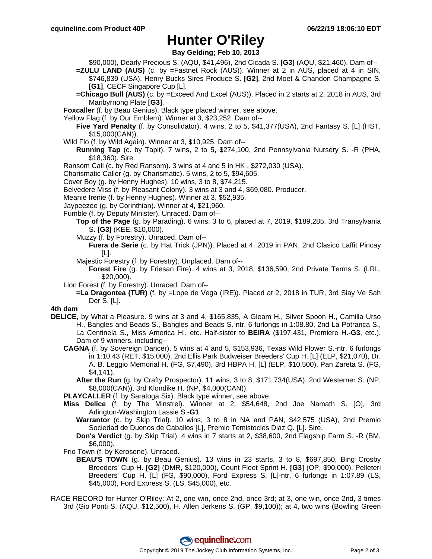### **Hunter O'Riley**

**Bay Gelding; Feb 10, 2013**

- \$90,000), Dearly Precious S. (AQU, \$41,496), 2nd Cicada S. **[G3]** (AQU, \$21,460). Dam of-- **=ZULU LAND (AUS)** (c. by =Fastnet Rock (AUS)). Winner at 2 in AUS, placed at 4 in SIN, \$746,839 (USA), Henry Bucks Sires Produce S. **[G2]**, 2nd Moet & Chandon Champagne S. **[G1]**, CECF Singapore Cup [L].
- **=Chicago Bull (AUS)** (c. by =Exceed And Excel (AUS)). Placed in 2 starts at 2, 2018 in AUS, 3rd Maribyrnong Plate **[G3]**.
- **Foxcaller** (f. by Beau Genius). Black type placed winner, see above.
- Yellow Flag (f. by Our Emblem). Winner at 3, \$23,252. Dam of--
	- **Five Yard Penalty** (f. by Consolidator). 4 wins, 2 to 5, \$41,377(USA), 2nd Fantasy S. [L] (HST, \$15,000(CAN)).
- Wild Flo (f. by Wild Again). Winner at 3, \$10,925. Dam of--
	- **Running Tap** (c. by Tapit). 7 wins, 2 to 5, \$274,100, 2nd Pennsylvania Nursery S. -R (PHA, \$18,360). Sire.
- Ransom Call (c. by Red Ransom). 3 wins at 4 and 5 in HK , \$272,030 (USA).
- Charismatic Caller (g. by Charismatic). 5 wins, 2 to 5, \$94,605.
- Cover Boy (g. by Henny Hughes). 10 wins, 3 to 8, \$74,215.
- Belvedere Miss (f. by Pleasant Colony). 3 wins at 3 and 4, \$69,080. Producer.
- Meanie Irenie (f. by Henny Hughes). Winner at 3, \$52,935.
- Jaypeezee (g. by Corinthian). Winner at 4, \$21,960.
- Fumble (f. by Deputy Minister). Unraced. Dam of--
	- **Top of the Page** (g. by Parading). 6 wins, 3 to 6, placed at 7, 2019, \$189,285, 3rd Transylvania S. **[G3]** (KEE, \$10,000).
	- Muzzy (f. by Forestry). Unraced. Dam of--
		- **Fuera de Serie** (c. by Hat Trick (JPN)). Placed at 4, 2019 in PAN, 2nd Clasico Laffit Pincay [L].
	- Majestic Forestry (f. by Forestry). Unplaced. Dam of--
		- **Forest Fire** (g. by Friesan Fire). 4 wins at 3, 2018, \$136,590, 2nd Private Terms S. (LRL, \$20,000).
- Lion Forest (f. by Forestry). Unraced. Dam of--
	- **=La Dragontea (TUR)** (f. by =Lope de Vega (IRE)). Placed at 2, 2018 in TUR, 3rd Siay Ve Sah Der S. [L].

#### **4th dam**

- **DELICE**, by What a Pleasure. 9 wins at 3 and 4, \$165,835, A Gleam H., Silver Spoon H., Camilla Urso H., Bangles and Beads S., Bangles and Beads S.-ntr, 6 furlongs in 1:08.80, 2nd La Potranca S., La Centinela S., Miss America H., etc. Half-sister to **BEIRA** (\$197,431, Premiere H.**-G3**, etc.). Dam of 9 winners, including--
	- **CAGNA** (f. by Sovereign Dancer). 5 wins at 4 and 5, \$153,936, Texas Wild Flower S.-ntr, 6 furlongs in 1:10.43 (RET, \$15,000), 2nd Ellis Park Budweiser Breeders' Cup H. [L] (ELP, \$21,070), Dr. A. B. Leggio Memorial H. (FG, \$7,490), 3rd HBPA H. [L] (ELP, \$10,500), Pan Zareta S. (FG, \$4,141).
		- **After the Run** (g. by Crafty Prospector). 11 wins, 3 to 8, \$171,734(USA), 2nd Westerner S. (NP, \$8,000(CAN)), 3rd Klondike H. (NP, \$4,000(CAN)).
	- **PLAYCALLER** (f. by Saratoga Six). Black type winner, see above.
	- **Miss Delice** (f. by The Minstrel). Winner at 2, \$54,648, 2nd Joe Namath S. [O], 3rd Arlington-Washington Lassie S.**-G1**.
		- **Warrantor** (c. by Skip Trial). 10 wins, 3 to 8 in NA and PAN, \$42,575 (USA), 2nd Premio Sociedad de Duenos de Caballos [L], Premio Temistocles Diaz Q. [L]. Sire.
		- **Don's Verdict** (g. by Skip Trial). 4 wins in 7 starts at 2, \$38,600, 2nd Flagship Farm S. -R (BM, \$6,000).
	- Frio Town (f. by Kerosene). Unraced.
		- **BEAU'S TOWN** (g. by Beau Genius). 13 wins in 23 starts, 3 to 8, \$697,850, Bing Crosby Breeders' Cup H. **[G2]** (DMR, \$120,000), Count Fleet Sprint H. **[G3]** (OP, \$90,000), Pelleteri Breeders' Cup H. [L] (FG, \$90,000), Ford Express S. [L]-ntr, 6 furlongs in 1:07.89 (LS, \$45,000), Ford Express S. (LS, \$45,000), etc.
- RACE RECORD for Hunter O'Riley: At 2, one win, once 2nd, once 3rd; at 3, one win, once 2nd, 3 times 3rd (Gio Ponti S. (AQU, \$12,500), H. Allen Jerkens S. (GP, \$9,100)); at 4, two wins (Bowling Green